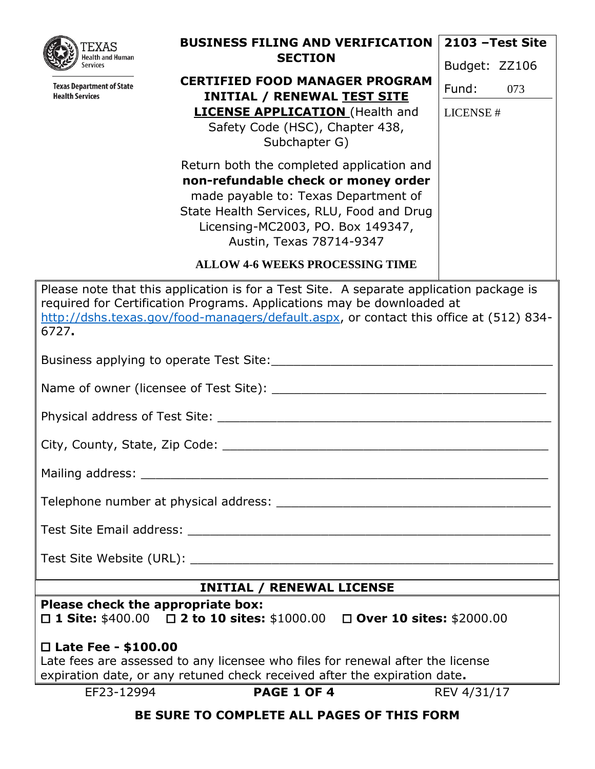| FXAS                                                                                                                  | <b>BUSINESS FILING AND VERIFICATION</b>                                                 | 2103 - Test Site |  |  |  |  |
|-----------------------------------------------------------------------------------------------------------------------|-----------------------------------------------------------------------------------------|------------------|--|--|--|--|
| Health and Human<br><b>Services</b>                                                                                   | <b>SECTION</b>                                                                          | Budget: ZZ106    |  |  |  |  |
| <b>Texas Department of State</b><br><b>Health Services</b>                                                            | <b>CERTIFIED FOOD MANAGER PROGRAM</b><br><b>INITIAL / RENEWAL TEST SITE</b>             | Fund:<br>073     |  |  |  |  |
|                                                                                                                       | <b>LICENSE APPLICATION</b> (Health and                                                  | LICENSE#         |  |  |  |  |
|                                                                                                                       |                                                                                         |                  |  |  |  |  |
|                                                                                                                       | Subchapter G)<br>Return both the completed application and                              |                  |  |  |  |  |
|                                                                                                                       | non-refundable check or money order                                                     |                  |  |  |  |  |
|                                                                                                                       | made payable to: Texas Department of                                                    |                  |  |  |  |  |
|                                                                                                                       | State Health Services, RLU, Food and Drug                                               |                  |  |  |  |  |
|                                                                                                                       | Licensing-MC2003, PO. Box 149347,<br>Austin, Texas 78714-9347                           |                  |  |  |  |  |
|                                                                                                                       | <b>ALLOW 4-6 WEEKS PROCESSING TIME</b>                                                  |                  |  |  |  |  |
|                                                                                                                       | Please note that this application is for a Test Site. A separate application package is |                  |  |  |  |  |
|                                                                                                                       | required for Certification Programs. Applications may be downloaded at                  |                  |  |  |  |  |
| 6727.                                                                                                                 | http://dshs.texas.gov/food-managers/default.aspx, or contact this office at (512) 834-  |                  |  |  |  |  |
|                                                                                                                       |                                                                                         |                  |  |  |  |  |
|                                                                                                                       |                                                                                         |                  |  |  |  |  |
|                                                                                                                       |                                                                                         |                  |  |  |  |  |
|                                                                                                                       |                                                                                         |                  |  |  |  |  |
|                                                                                                                       |                                                                                         |                  |  |  |  |  |
|                                                                                                                       |                                                                                         |                  |  |  |  |  |
|                                                                                                                       |                                                                                         |                  |  |  |  |  |
|                                                                                                                       |                                                                                         |                  |  |  |  |  |
|                                                                                                                       |                                                                                         |                  |  |  |  |  |
|                                                                                                                       | <b>INITIAL / RENEWAL LICENSE</b>                                                        |                  |  |  |  |  |
| Please check the appropriate box:                                                                                     |                                                                                         |                  |  |  |  |  |
|                                                                                                                       | □ 1 Site: $$400.00$ □ 2 to 10 sites: $$1000.00$ □ Over 10 sites: $$2000.00$             |                  |  |  |  |  |
| $\Box$ Late Fee - \$100.00                                                                                            |                                                                                         |                  |  |  |  |  |
| Late fees are assessed to any licensee who files for renewal after the license                                        |                                                                                         |                  |  |  |  |  |
| expiration date, or any retuned check received after the expiration date.<br>PAGE 1 OF 4<br>EF23-12994<br>REV 4/31/17 |                                                                                         |                  |  |  |  |  |
| BE SURE TO COMPLETE ALL PAGES OF THIS FORM                                                                            |                                                                                         |                  |  |  |  |  |
|                                                                                                                       |                                                                                         |                  |  |  |  |  |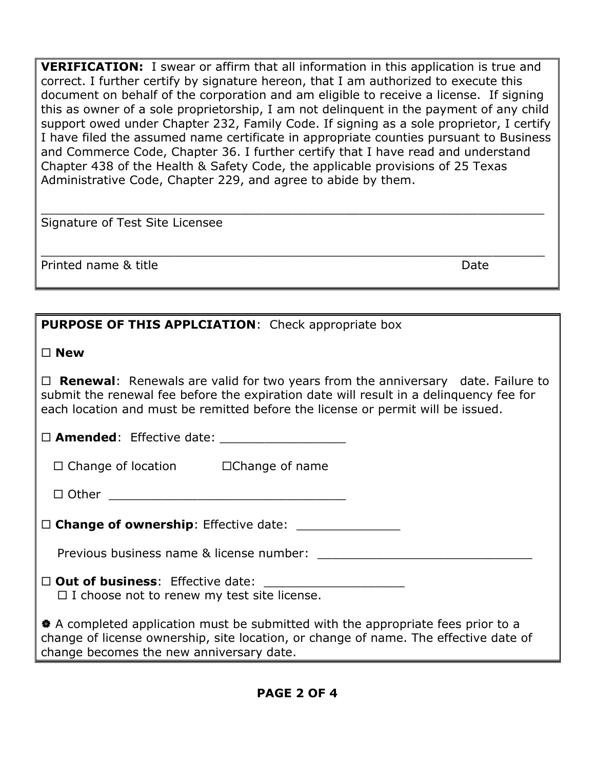**VERIFICATION:** I swear or affirm that all information in this application is true and correct. I further certify by signature hereon, that I am authorized to execute this document on behalf of the corporation and am eligible to receive a license. If signing this as owner of a sole proprietorship, I am not delinquent in the payment of any child support owed under Chapter 232, Family Code. If signing as a sole proprietor, I certify I have filed the assumed name certificate in appropriate counties pursuant to Business and Commerce Code, Chapter 36. I further certify that I have read and understand Chapter 438 of the Health & Safety Code, the applicable provisions of 25 Texas Administrative Code, Chapter 229, and agree to abide by them.

\_\_\_\_\_\_\_\_\_\_\_\_\_\_\_\_\_\_\_\_\_\_\_\_\_\_\_\_\_\_\_\_\_\_\_\_\_\_\_\_\_\_\_\_\_\_\_\_\_\_\_\_\_\_\_\_\_\_\_\_\_\_\_\_\_\_\_\_

\_\_\_\_\_\_\_\_\_\_\_\_\_\_\_\_\_\_\_\_\_\_\_\_\_\_\_\_\_\_\_\_\_\_\_\_\_\_\_\_\_\_\_\_\_\_\_\_\_\_\_\_\_\_\_\_\_\_\_\_\_\_\_\_\_\_\_\_

Signature of Test Site Licensee

Printed name & title Date

| <b>PURPOSE OF THIS APPLCIATION:</b> Check appropriate box                                                                                                                                                                                                                   |
|-----------------------------------------------------------------------------------------------------------------------------------------------------------------------------------------------------------------------------------------------------------------------------|
| $\square$ New                                                                                                                                                                                                                                                               |
| $\Box$ <b>Renewal</b> : Renewals are valid for two years from the anniversary date. Failure to<br>submit the renewal fee before the expiration date will result in a delinguency fee for<br>each location and must be remitted before the license or permit will be issued. |
|                                                                                                                                                                                                                                                                             |
| $\Box$ Change of location $\Box$ Change of name                                                                                                                                                                                                                             |
|                                                                                                                                                                                                                                                                             |
|                                                                                                                                                                                                                                                                             |
| Previous business name & license number: example and the set of the set of the set of the set of the set of the set of the set of the set of the set of the set of the set of the set of the set of the set of the set of the                                               |
| $\Box$ I choose not to renew my test site license.                                                                                                                                                                                                                          |
| * A completed application must be submitted with the appropriate fees prior to a<br>change of license ownership, site location, or change of name. The effective date of<br>change becomes the new anniversary date.                                                        |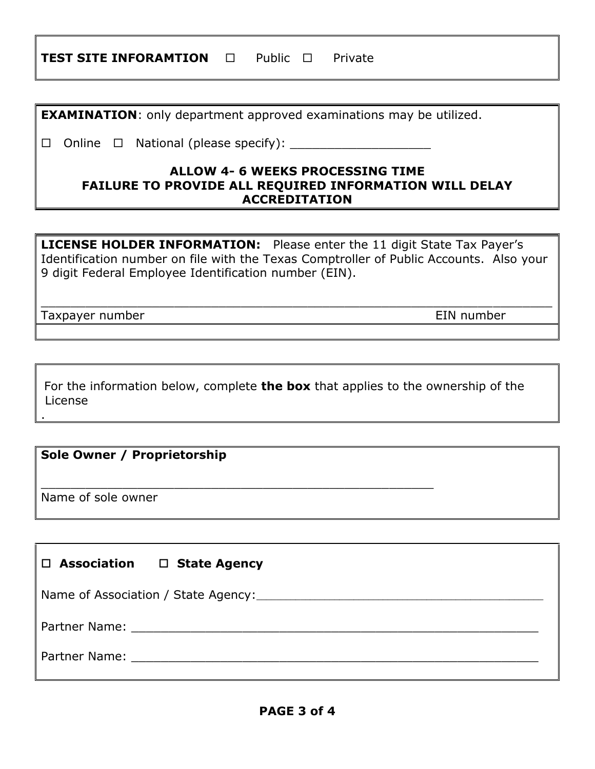| TEST SITE INFORAMTION |  | $\square$ Public $\square$ |  | Private |
|-----------------------|--|----------------------------|--|---------|
|-----------------------|--|----------------------------|--|---------|

**EXAMINATION**: only department approved examinations may be utilized.

 $\Box$  Online  $\Box$  National (please specify):

## **ALLOW 4- 6 WEEKS PROCESSING TIME FAILURE TO PROVIDE ALL REQUIRED INFORMATION WILL DELAY ACCREDITATION**

**LICENSE HOLDER INFORMATION:** Please enter the 11 digit State Tax Payer's Identification number on file with the Texas Comptroller of Public Accounts. Also your 9 digit Federal Employee Identification number (EIN).

\_\_\_\_\_\_\_\_\_\_\_\_\_\_\_\_\_\_\_\_\_\_\_\_\_\_\_\_\_\_\_\_\_\_\_\_\_\_\_\_\_\_\_\_\_\_\_\_\_\_\_\_\_\_\_\_\_\_\_\_\_\_\_\_\_\_\_\_\_

Taxpayer number **EIN** number

.

For the information below, complete **the box** that applies to the ownership of the License

\_\_\_\_\_\_\_\_\_\_\_\_\_\_\_\_\_\_\_\_\_\_\_\_\_\_\_\_\_\_\_\_\_\_\_\_\_\_\_\_\_\_\_\_\_\_\_\_\_\_\_\_\_

## **Sole Owner / Proprietorship**

Name of sole owner

| $\Box$ Association $\Box$ State Agency                                                                        |  |  |  |
|---------------------------------------------------------------------------------------------------------------|--|--|--|
|                                                                                                               |  |  |  |
|                                                                                                               |  |  |  |
| Partner Name: 2008. 2009. 2010. 2010. 2012. 2013. 2014. 2016. 2017. 2018. 2019. 2014. 2016. 2017. 2018. 2019. |  |  |  |